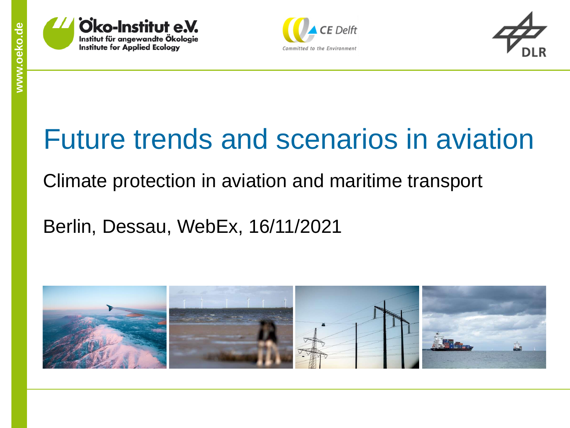





# Future trends and scenarios in aviation

### Climate protection in aviation and maritime transport

Berlin, Dessau, WebEx, 16/11/2021

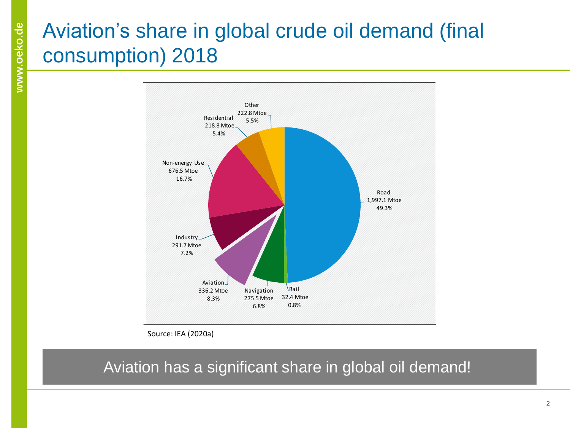### Aviation's share in global crude oil demand (final consumption) 2018



Source: IEA (2020a)

Aviation has a significant share in global oil demand!

Road Rail Navigation Aviation Industry Non-energy use Residential Other (e.g. agriculture)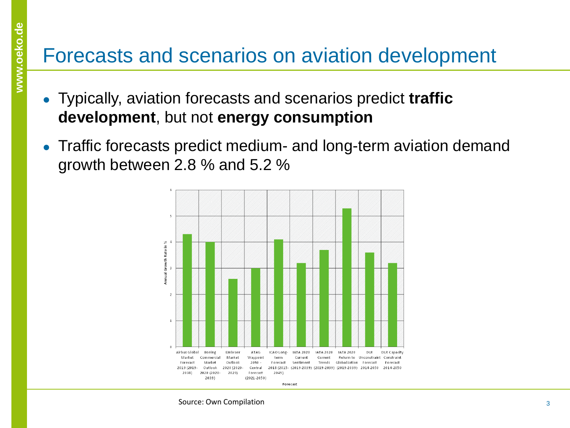### Forecasts and scenarios on aviation development

- Typically, aviation forecasts and scenarios predict **traffic development**, but not **energy consumption**
- Traffic forecasts predict medium- and long-term aviation demand growth between 2.8 % and 5.2 %

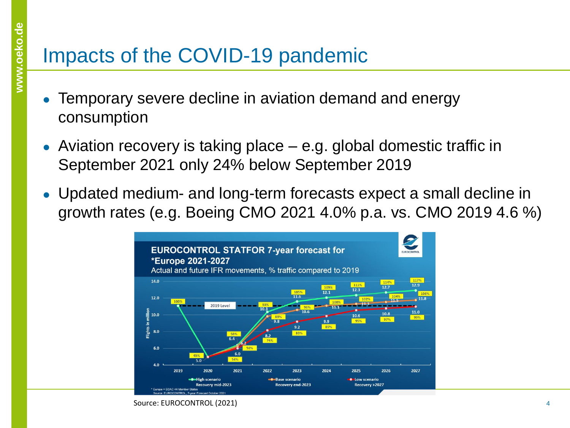## Impacts of the COVID-19 pandemic

- Temporary severe decline in aviation demand and energy consumption
- Aviation recovery is taking place  $-$  e.g. global domestic traffic in September 2021 only 24% below September 2019
- Updated medium- and long-term forecasts expect a small decline in growth rates (e.g. Boeing CMO 2021 4.0% p.a. vs. CMO 2019 4.6 %)



Source: EUROCONTROL (2021)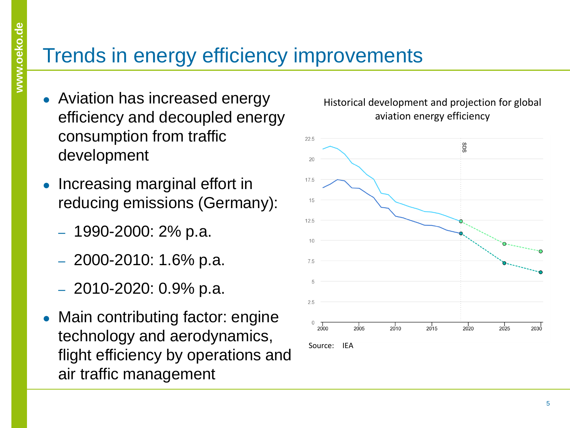### Trends in energy efficiency improvements

- Aviation has increased energy efficiency and decoupled energy consumption from traffic development
- Increasing marginal effort in reducing emissions (Germany):
	- $-1990 2000$ : 2% p.a.
	- $-2000 2010$ : 1.6% p.a.
	- $-2010-2020:0.9%p.a.$
- Main contributing factor: engine technology and aerodynamics, flight efficiency by operations and air traffic management



#### Historical development and projection for global aviation energy efficiency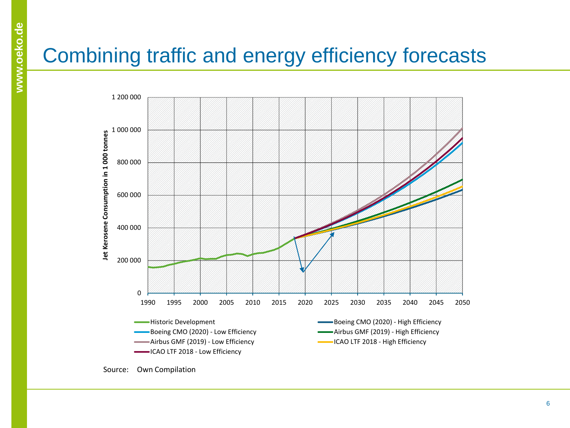# Combining traffic and energy efficiency forecasts



![](_page_5_Figure_3.jpeg)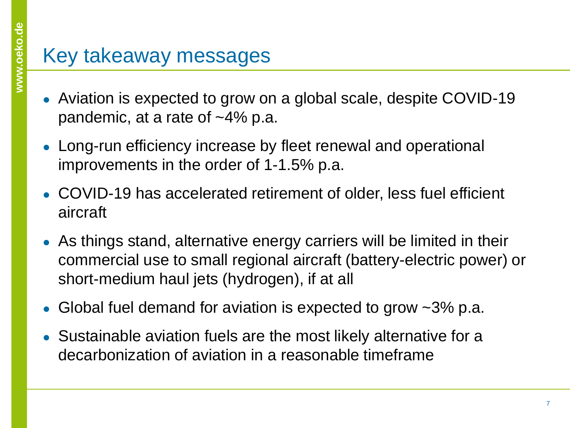### Key takeaway messages

- Aviation is expected to grow on a global scale, despite COVID-19 pandemic, at a rate of  $~14\%$  p.a.
- Long-run efficiency increase by fleet renewal and operational improvements in the order of 1-1.5% p.a.
- COVID-19 has accelerated retirement of older, less fuel efficient aircraft
- As things stand, alternative energy carriers will be limited in their commercial use to small regional aircraft (battery-electric power) or short-medium haul jets (hydrogen), if at all
- Global fuel demand for aviation is expected to grow  $\sim$ 3% p.a.
- Sustainable aviation fuels are the most likely alternative for a decarbonization of aviation in a reasonable timeframe